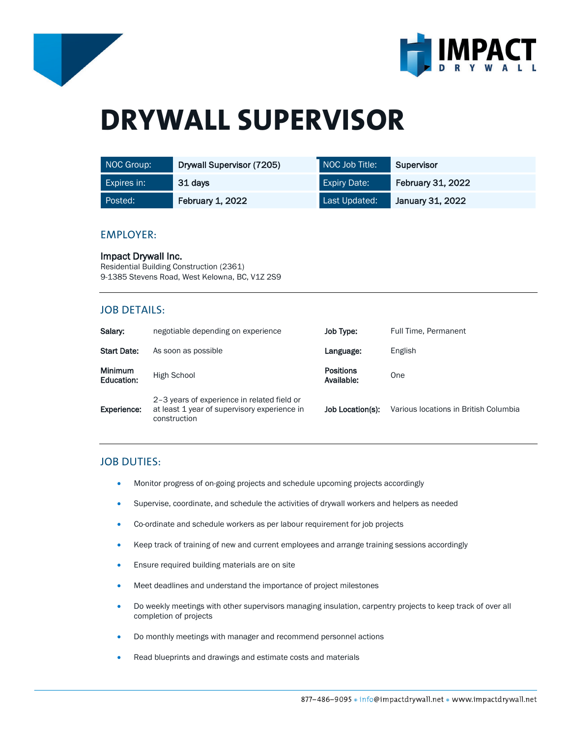



# **DRYWALL SUPERVISOR**

| NOC Group:         | Drywall Supervisor (7205) | NOC Job Title:      | Supervisor               |
|--------------------|---------------------------|---------------------|--------------------------|
| <b>Expires in:</b> | 31 days                   | <b>Expiry Date:</b> | <b>February 31, 2022</b> |
| Posted:            | <b>February 1, 2022</b>   | Last Updated:       | January 31, 2022         |

#### EMPLOYER:

Impact Drywall Inc. Residential Building Construction (2361) 9-1385 Stevens Road, West Kelowna, BC, V1Z 2S9

## JOB DETAILS:

| Salary:                      | negotiable depending on experience                                                                          | Job Type:                      | Full Time, Permanent                  |
|------------------------------|-------------------------------------------------------------------------------------------------------------|--------------------------------|---------------------------------------|
| <b>Start Date:</b>           | As soon as possible                                                                                         | Language:                      | English                               |
| <b>Minimum</b><br>Education: | High School                                                                                                 | <b>Positions</b><br>Available: | One                                   |
| Experience:                  | 2-3 years of experience in related field or<br>at least 1 year of supervisory experience in<br>construction | Job Location(s):               | Various locations in British Columbia |

# JOB DUTIES:

- Monitor progress of on-going projects and schedule upcoming projects accordingly
- Supervise, coordinate, and schedule the activities of drywall workers and helpers as needed
- Co-ordinate and schedule workers as per labour requirement for job projects
- Keep track of training of new and current employees and arrange training sessions accordingly
- Ensure required building materials are on site
- Meet deadlines and understand the importance of project milestones
- Do weekly meetings with other supervisors managing insulation, carpentry projects to keep track of over all completion of projects
- Do monthly meetings with manager and recommend personnel actions
- Read blueprints and drawings and estimate costs and materials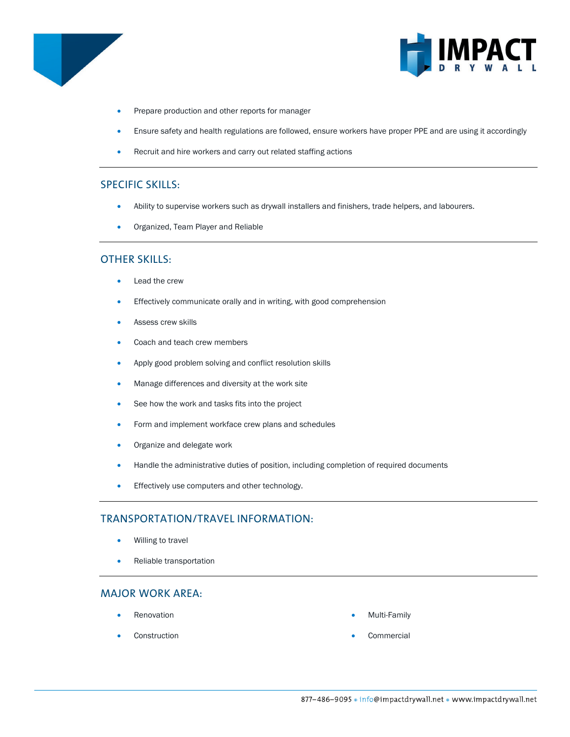



- Prepare production and other reports for manager
- Ensure safety and health regulations are followed, ensure workers have proper PPE and are using it accordingly
- Recruit and hire workers and carry out related staffing actions

## SPECIFIC SKILLS:

- Ability to supervise workers such as drywall installers and finishers, trade helpers, and labourers.
- Organized, Team Player and Reliable

#### OTHER SKILLS:

- Lead the crew
- Effectively communicate orally and in writing, with good comprehension
- Assess crew skills
- Coach and teach crew members
- Apply good problem solving and conflict resolution skills
- Manage differences and diversity at the work site
- See how the work and tasks fits into the project
- Form and implement workface crew plans and schedules
- Organize and delegate work
- Handle the administrative duties of position, including completion of required documents
- **•** Effectively use computers and other technology.

# TRANSPORTATION/TRAVEL INFORMATION:

- Willing to travel
- Reliable transportation

#### MAJOR WORK AREA:

- **Renovation**
- **Construction**
- Multi-Family
- **Commercial**